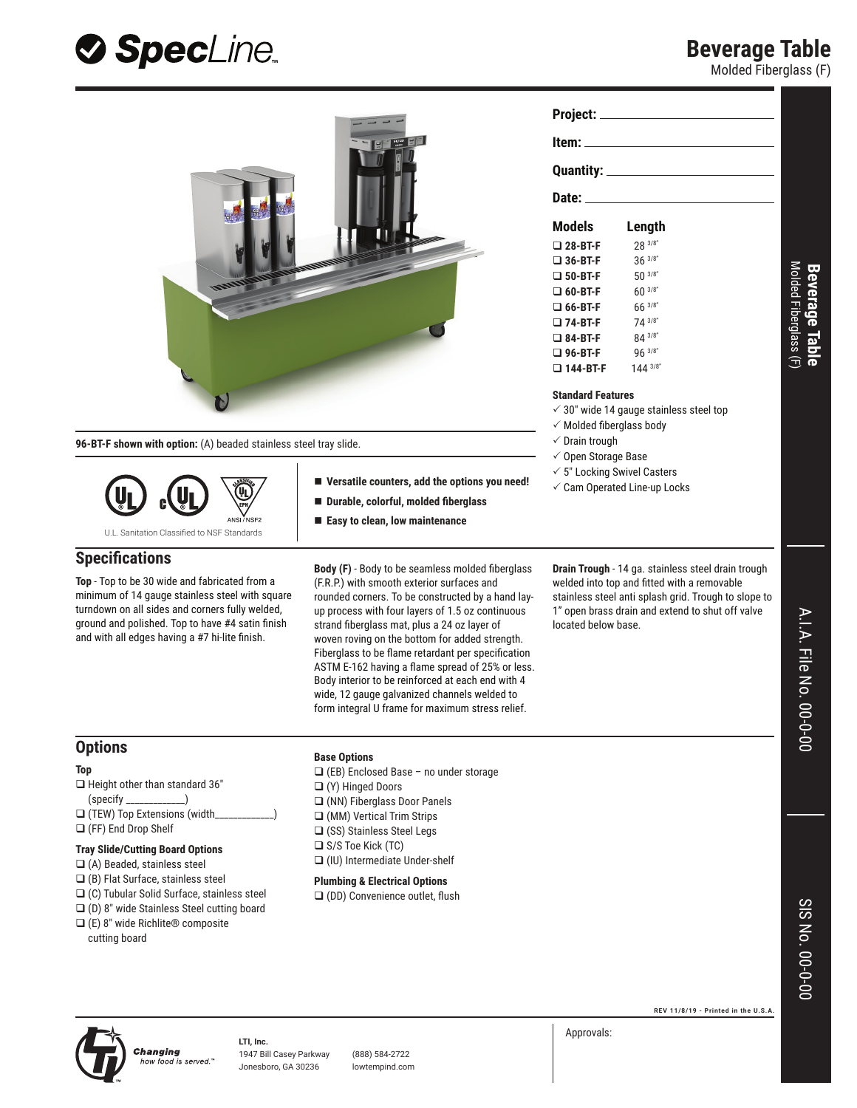## **Beverage Table**

Molded Fiberglass (F)



**SpecLine** 

- (D) 8" wide Stainless Steel cutting board
- (E) 8" wide Richlite® composite cutting board

Changing

 $\Box$  (DD) Convenience outlet, flush



**Top** 

**LTI, Inc.** how food is served.

1947 Bill Casey Parkway (888) 584-2722 Jonesboro, GA 30236 lowtempind.com **REV 11/8/19 - Printed in the U.S.A.**

Approvals: